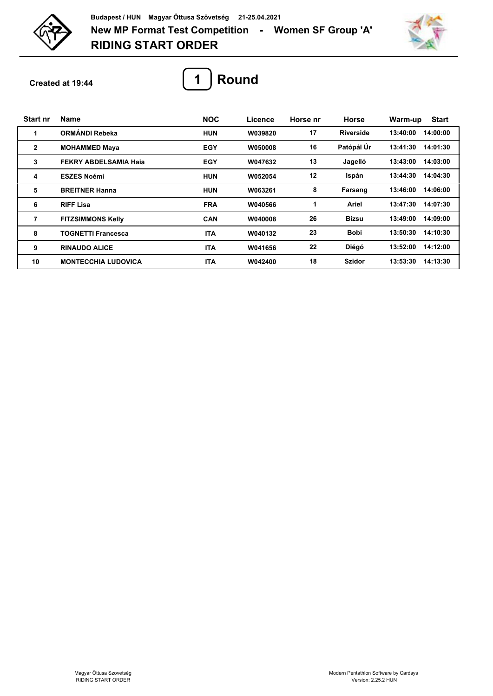

**RIDING START ORDER New MP Format Test Competition - Women SF Group 'A' Budapest / HUN Magyar Öttusa Szövetség 21-25.04.2021**



**Created at 19:44**



| <b>Start nr</b> | <b>Name</b>                  | <b>NOC</b> | Licence | Horse nr | <b>Horse</b>     | <b>Start</b><br>Warm-up |
|-----------------|------------------------------|------------|---------|----------|------------------|-------------------------|
| 1               | <b>ORMÁNDI Rebeka</b>        | <b>HUN</b> | W039820 | 17       | <b>Riverside</b> | 13:40:00<br>14:00:00    |
| $\mathbf{2}$    | <b>MOHAMMED Maya</b>         | EGY        | W050008 | 16       | Patópál Úr       | 13:41:30<br>14:01:30    |
| 3               | <b>FEKRY ABDELSAMIA Haja</b> | EGY        | W047632 | 13       | Jagelló          | 14:03:00<br>13:43:00    |
| 4               | <b>ESZES Noémi</b>           | <b>HUN</b> | W052054 | 12       | Ispán            | 14:04:30<br>13:44:30    |
| 5               | <b>BREITNER Hanna</b>        | <b>HUN</b> | W063261 | 8        | Farsang          | 13:46:00<br>14:06:00    |
| 6               | <b>RIFF Lisa</b>             | <b>FRA</b> | W040566 | 1        | Ariel            | 13:47:30<br>14:07:30    |
| 7               | <b>FITZSIMMONS Kelly</b>     | <b>CAN</b> | W040008 | 26       | <b>Bizsu</b>     | 13:49:00<br>14:09:00    |
| 8               | TOGNETTI Francesca           | <b>ITA</b> | W040132 | 23       | <b>Bobi</b>      | 14:10:30<br>13:50:30    |
| 9               | <b>RINAUDO ALICE</b>         | <b>ITA</b> | W041656 | 22       | Diégó            | 13:52:00<br>14:12:00    |
| 10              | <b>MONTECCHIA LUDOVICA</b>   | <b>ITA</b> | W042400 | 18       | <b>Szidor</b>    | 14:13:30<br>13:53:30    |